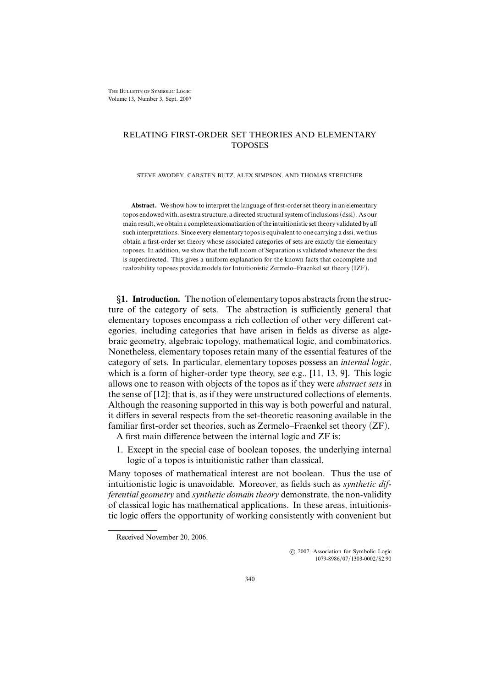# RELATING FIRST-ORDER SET THEORIES AND ELEMENTARY **TOPOSES**

STEVE AWODEY, CARSTEN BUTZ, ALEX SIMPSON, AND THOMAS STREICHER

Abstract. We show how to interpret the language of first-order set theory in an elementary topos endowed with, as extra structure, a directed structuralsystem ofinclusions(dssi). As our main result, we obtain a complete axiomatization of the intuitionistic set theory validated by all such interpretations. Since every elementary toposis equivalent to one carrying a dssi, we thus obtain a first-order set theory whose associated categories of sets are exactly the elementary toposes. In addition, we show that the full axiom of Separation is validated whenever the dssi is superdirected. This gives a uniform explanation for the known facts that cocomplete and realizability toposes provide models for Intuitionistic Zermelo–Fraenkel set theory (IZF).

§**1. Introduction.** The notion of elementary topos abstractsfrom the structure of the category of sets. The abstraction is sufficiently general that elementary toposes encompass a rich collection of other very different categories, including categories that have arisen in fields as diverse as algebraic geometry, algebraic topology, mathematical logic, and combinatorics. Nonetheless, elementary toposes retain many of the essential features of the category of sets. In particular, elementary toposes possess an internal logic, which is a form of higher-order type theory, see e.g., [11, 13, 9]. This logic allows one to reason with objects of the topos as if they were abstract sets in the sense of [12]; that is, as if they were unstructured collections of elements. Although the reasoning supported in this way is both powerful and natural, it differs in several respects from the set-theoretic reasoning available in the familiar first-order set theories, such as Zermelo–Fraenkel set theory (ZF).

A first main difference between the internal logic and ZF is:

1. Except in the special case of boolean toposes, the underlying internal logic of a topos is intuitionistic rather than classical.

Many toposes of mathematical interest are not boolean. Thus the use of intuitionistic logic is unavoidable. Moreover, as fields such as synthetic differential geometry and synthetic domain theory demonstrate, the non-validity of classical logic has mathematical applications. In these areas, intuitionistic logic offers the opportunity of working consistently with convenient but

!c 2007, Association for Symbolic Logic 1079-8986/07/1303-0002/\$2.90

Received November 20, 2006.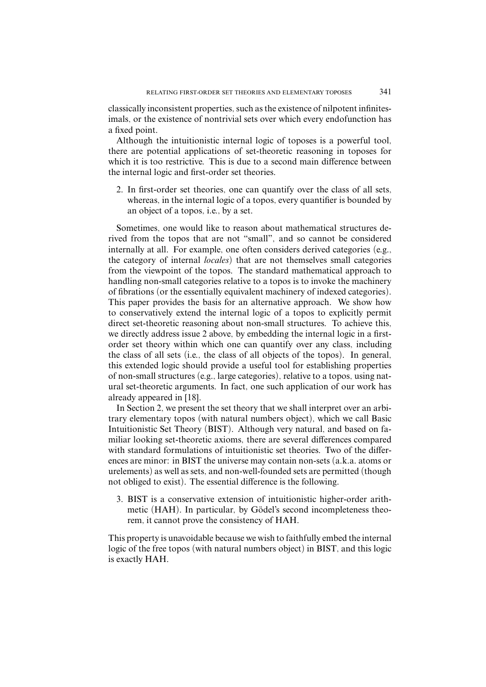classically inconsistent properties, such as the existence of nilpotent infinitesimals, or the existence of nontrivial sets over which every endofunction has a fixed point.

Although the intuitionistic internal logic of toposes is a powerful tool, there are potential applications of set-theoretic reasoning in toposes for which it is too restrictive. This is due to a second main difference between the internal logic and first-order set theories.

2. In first-order set theories, one can quantify over the class of all sets, whereas, in the internal logic of a topos, every quantifier is bounded by an object of a topos, i.e., by a set.

Sometimes, one would like to reason about mathematical structures derived from the topos that are not "small", and so cannot be considered internally at all. For example, one often considers derived categories (e.g., the category of internal locales) that are not themselves small categories from the viewpoint of the topos. The standard mathematical approach to handling non-small categories relative to a topos is to invoke the machinery of fibrations (or the essentially equivalent machinery of indexed categories). This paper provides the basis for an alternative approach. We show how to conservatively extend the internal logic of a topos to explicitly permit direct set-theoretic reasoning about non-small structures. To achieve this, we directly address issue 2 above, by embedding the internal logic in a firstorder set theory within which one can quantify over any class, including the class of all sets (i.e., the class of all objects of the topos). In general, this extended logic should provide a useful tool for establishing properties of non-small structures (e.g., large categories), relative to a topos, using natural set-theoretic arguments. In fact, one such application of our work has already appeared in [18].

In Section 2, we present the set theory that we shall interpret over an arbitrary elementary topos (with natural numbers object), which we call Basic Intuitionistic Set Theory (BIST). Although very natural, and based on familiar looking set-theoretic axioms, there are several differences compared with standard formulations of intuitionistic set theories. Two of the differences are minor: in BIST the universe may contain non-sets (a.k.a. atoms or urelements) as well as sets, and non-well-founded sets are permitted (though not obliged to exist). The essential difference is the following.

3. BIST is a conservative extension of intuitionistic higher-order arithmetic (HAH). In particular, by Gödel's second incompleteness theorem, it cannot prove the consistency of HAH.

This property is unavoidable because we wish to faithfully embed the internal logic of the free topos (with natural numbers object) in BIST, and this logic is exactly HAH.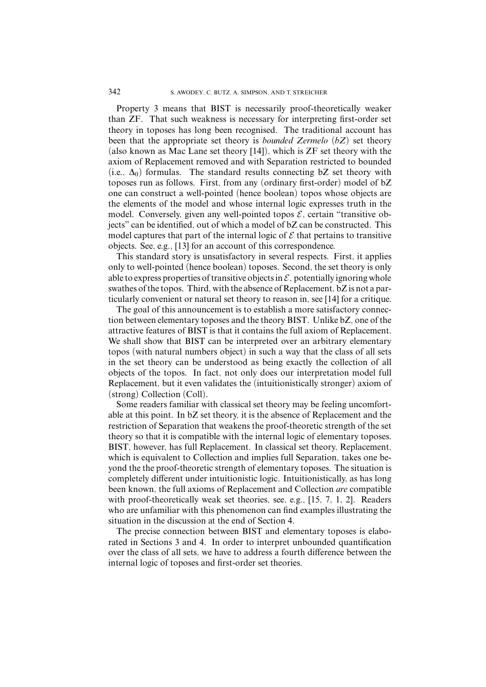## 342 S. AWODEY, C. BUTZ, A. SIMPSON, AND T. STREICHER

Property 3 means that BIST is necessarily proof-theoretically weaker than ZF. That such weakness is necessary for interpreting first-order set theory in toposes has long been recognised. The traditional account has been that the appropriate set theory is *bounded Zermelo*  $(bZ)$  set theory (also known as Mac Lane set theory [14]), which is ZF set theory with the axiom of Replacement removed and with Separation restricted to bounded (i.e.,  $\Delta_0$ ) formulas. The standard results connecting bZ set theory with toposes run as follows. First, from any (ordinary first-order) model of bZ one can construct a well-pointed (hence boolean) topos whose objects are the elements of the model and whose internal logic expresses truth in the model. Conversely, given any well-pointed topos  $\mathcal{E}$ , certain "transitive objects" can be identified, out of which a model of bZ can be constructed. This model captures that part of the internal logic of  $\mathcal E$  that pertains to transitive objects. See, e.g., [13] for an account of this correspondence.

This standard story is unsatisfactory in several respects. First, it applies only to well-pointed (hence boolean) toposes. Second, the set theory is only able to express properties of transitive objects in  $\mathcal{E}$ , potentially ignoring whole swathes of the topos. Third, with the absence of Replacement, bZ is not a particularly convenient or natural set theory to reason in, see [14] for a critique.

The goal of this announcement is to establish a more satisfactory connection between elementary toposes and the theory BIST. Unlike bZ, one of the attractive features of BIST is that it contains the full axiom of Replacement. We shall show that BIST can be interpreted over an arbitrary elementary topos (with natural numbers object) in such a way that the class of all sets in the set theory can be understood as being exactly the collection of all objects of the topos. In fact, not only does our interpretation model full Replacement, but it even validates the (intuitionistically stronger) axiom of (strong) Collection (Coll).

Some readers familiar with classical set theory may be feeling uncomfortable at this point. In bZ set theory, it is the absence of Replacement and the restriction of Separation that weakens the proof-theoretic strength of the set theory so that it is compatible with the internal logic of elementary toposes. BIST, however, has full Replacement. In classical set theory, Replacement, which is equivalent to Collection and implies full Separation, takes one beyond the the proof-theoretic strength of elementary toposes. The situation is completely different under intuitionistic logic. Intuitionistically, as has long been known, the full axioms of Replacement and Collection are compatible with proof-theoretically weak set theories, see, e.g., [15, 7, 1, 2]. Readers who are unfamiliar with this phenomenon can find examples illustrating the situation in the discussion at the end of Section 4.

The precise connection between BIST and elementary toposes is elaborated in Sections 3 and 4. In order to interpret unbounded quantification over the class of all sets, we have to address a fourth difference between the internal logic of toposes and first-order set theories.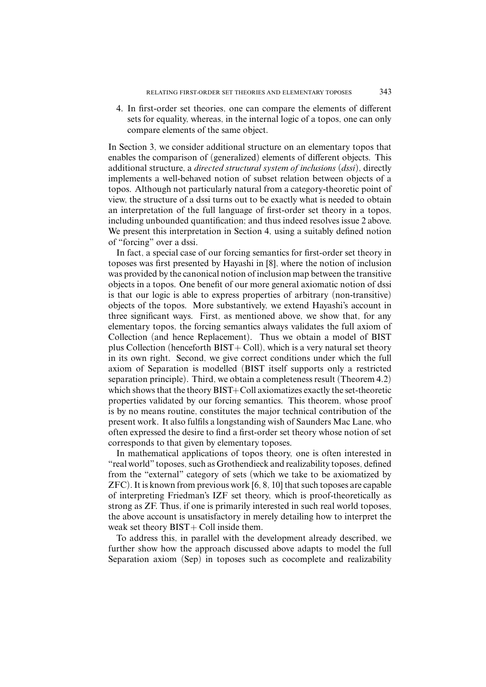4. In first-order set theories, one can compare the elements of different sets for equality, whereas, in the internal logic of a topos, one can only compare elements of the same object.

In Section 3, we consider additional structure on an elementary topos that enables the comparison of (generalized) elements of different objects. This additional structure, a *directed structural system of inclusions* (*dssi*), directly implements a well-behaved notion of subset relation between objects of a topos. Although not particularly natural from a category-theoretic point of view, the structure of a dssi turns out to be exactly what is needed to obtain an interpretation of the full language of first-order set theory in a topos, including unbounded quantification; and thus indeed resolves issue 2 above. We present this interpretation in Section 4, using a suitably defined notion of "forcing" over a dssi.

In fact, a special case of our forcing semantics for first-order set theory in toposes was first presented by Hayashi in [8], where the notion of inclusion was provided by the canonical notion of inclusion map between the transitive objects in a topos. One benefit of our more general axiomatic notion of dssi is that our logic is able to express properties of arbitrary (non-transitive) objects of the topos. More substantively, we extend Hayashi's account in three significant ways. First, as mentioned above, we show that, for any elementary topos, the forcing semantics always validates the full axiom of Collection (and hence Replacement). Thus we obtain a model of BIST plus Collection (henceforth  $BIST + Coll$ ), which is a very natural set theory in its own right. Second, we give correct conditions under which the full axiom of Separation is modelled (BIST itself supports only a restricted separation principle). Third, we obtain a completeness result (Theorem 4.2) which shows that the theory BIST+Coll axiomatizes exactly the set-theoretic properties validated by our forcing semantics. This theorem, whose proof is by no means routine, constitutes the major technical contribution of the present work. It also fulfils a longstanding wish of Saunders Mac Lane, who often expressed the desire to find a first-order set theory whose notion of set corresponds to that given by elementary toposes.

In mathematical applications of topos theory, one is often interested in "real world" toposes, such as Grothendieck and realizability toposes, defined from the "external" category of sets (which we take to be axiomatized by ZFC).It is known from previous work [6, 8, 10] that such toposes are capable of interpreting Friedman's IZF set theory, which is proof-theoretically as strong as ZF. Thus, if one is primarily interested in such real world toposes, the above account is unsatisfactory in merely detailing how to interpret the weak set theory  $BIST + Coll$  inside them.

To address this, in parallel with the development already described, we further show how the approach discussed above adapts to model the full Separation axiom (Sep) in toposes such as cocomplete and realizability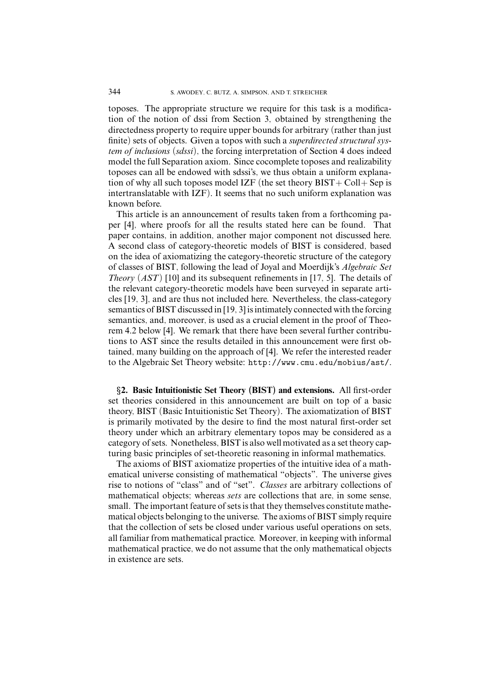toposes. The appropriate structure we require for this task is a modification of the notion of dssi from Section 3, obtained by strengthening the directedness property to require upper bounds for arbitrary (rather than just finite) sets of objects. Given a topos with such a *superdirected structural sys*tem of inclusions (sdssi), the forcing interpretation of Section 4 does indeed model the full Separation axiom. Since cocomplete toposes and realizability toposes can all be endowed with sdssi's, we thus obtain a uniform explanation of why all such toposes model IZF (the set theory  $BIST + Coll + Sep$  is intertranslatable with IZF). It seems that no such uniform explanation was known before.

This article is an announcement of results taken from a forthcoming paper [4], where proofs for all the results stated here can be found. That paper contains, in addition, another major component not discussed here. A second class of category-theoretic models of BIST is considered, based on the idea of axiomatizing the category-theoretic structure of the category of classes of BIST, following the lead of Joyal and Moerdijk's Algebraic Set *Theory*  $(AST)$  [10] and its subsequent refinements in [17, 5]. The details of the relevant category-theoretic models have been surveyed in separate articles [19, 3], and are thus not included here. Nevertheless, the class-category semantics of BIST discussed in [19, 3] is intimately connected with the forcing semantics, and, moreover, is used as a crucial element in the proof of Theorem 4.2 below [4]. We remark that there have been several further contributions to AST since the results detailed in this announcement were first obtained, many building on the approach of [4]. We refer the interested reader to the Algebraic Set Theory website: http://www.cmu.edu/mobius/ast/.

§**2. Basic Intuitionistic Set Theory (BIST) and extensions.** All first-order set theories considered in this announcement are built on top of a basic theory, BIST (Basic Intuitionistic Set Theory). The axiomatization of BIST is primarily motivated by the desire to find the most natural first-order set theory under which an arbitrary elementary topos may be considered as a category of sets. Nonetheless, BIST is also well motivated as a set theory capturing basic principles of set-theoretic reasoning in informal mathematics.

The axioms of BIST axiomatize properties of the intuitive idea of a mathematical universe consisting of mathematical "objects". The universe gives rise to notions of "class" and of "set". Classes are arbitrary collections of mathematical objects; whereas *sets* are collections that are, in some sense, small. The important feature of sets is that they themselves constitute mathematical objects belonging to the universe. The axioms of BIST simply require that the collection of sets be closed under various useful operations on sets, all familiar from mathematical practice. Moreover, in keeping with informal mathematical practice, we do not assume that the only mathematical objects in existence are sets.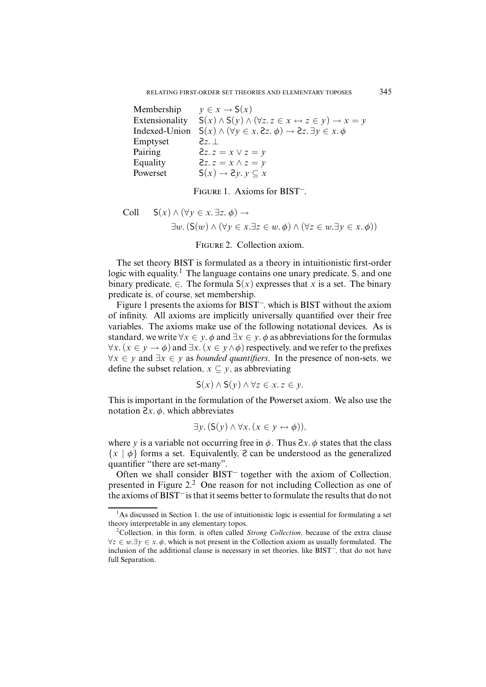Membership  $y \in x \to S(x)$ <br>Extensionality  $S(x) \wedge S(y) \wedge$  $S(x) \wedge S(y) \wedge (\forall z. z \in x \leftrightarrow z \in y) \rightarrow x = y$ Indexed-Union  $S(x) \land (\forall y \in x. 2z. \phi) \rightarrow 2z. \exists y \in x. \phi$ <br>Emptyset  $2z. \bot$ Emptyset<br>Pairing Pairing  $\begin{cases} 2z. z = x \lor z = y \\ 2z. z = x \land z = y \end{cases}$ Equality  $2z. z = x \land z = y$ <br>Powerset  $S(x) \rightarrow 2y. y \subset x$  $S(x) \rightarrow 2y. y \subseteq x$ 

Figure 1. Axioms for BIST−.

Coll 
$$
S(x) \land (\forall y \in x. \exists z. \phi) \rightarrow
$$
  
 $\exists w. (S(w) \land (\forall y \in x. \exists z \in w. \phi) \land (\forall z \in w. \exists y \in x. \phi))$ 

Figure 2. Collection axiom.

The set theory BIST is formulated as a theory in intuitionistic first-order logic with equality.<sup>1</sup> The language contains one unary predicate, S, and one binary predicate,  $\in$ . The formula  $S(x)$  expresses that *x* is a set. The binary predicate is, of course, set membership.

Figure 1 presents the axioms for BIST−, which is BIST without the axiom of infinity. All axioms are implicitly universally quantified over their free variables. The axioms make use of the following notational devices. As is standard, we write  $\forall x \in y$ .  $\phi$  and  $\exists x \in y$ .  $\phi$  as abbreviations for the formulas  $\forall x. (x \in y \rightarrow \phi)$  and  $\exists x. (x \in y \land \phi)$  respectively, and we refer to the prefixes  $∀x ∈ y$  and  $∃x ∈ y$  as *bounded quantifiers*. In the presence of non-sets, we define the subset relation,  $x \subseteq y$ , as abbreviating

$$
S(x) \wedge S(y) \wedge \forall z \in x. z \in y.
$$

This is important in the formulation of the Powerset axiom. We also use the notation  $2x$ .  $\phi$ , which abbreviates

$$
\exists y. (S(y) \land \forall x. (x \in y \leftrightarrow \phi)),
$$

where *y* is a variable not occurring free in  $\phi$ . Thus  $2x$ .  $\phi$  states that the class  ${x | \phi}$  forms a set. Equivalently, 2 can be understood as the generalized quantifier "there are set-many".

Often we shall consider BIST− together with the axiom of Collection, presented in Figure 2. <sup>2</sup> One reason for not including Collection as one of the axioms of BIST<sup>-</sup>is that it seems better to formulate the results that do not

 $<sup>1</sup>$ As discussed in Section 1, the use of intuitionistic logic is essential for formulating a set</sup> theory interpretable in any elementary topos.

<sup>&</sup>lt;sup>2</sup>Collection, in this form, is often called Strong Collection, because of the extra clause  $\forall z \in w.\exists y \in x.\phi$ , which is not present in the Collection axiom as usually formulated. The inclusion of the additional clause is necessary in set theories, like BIST−, that do not have full Separation.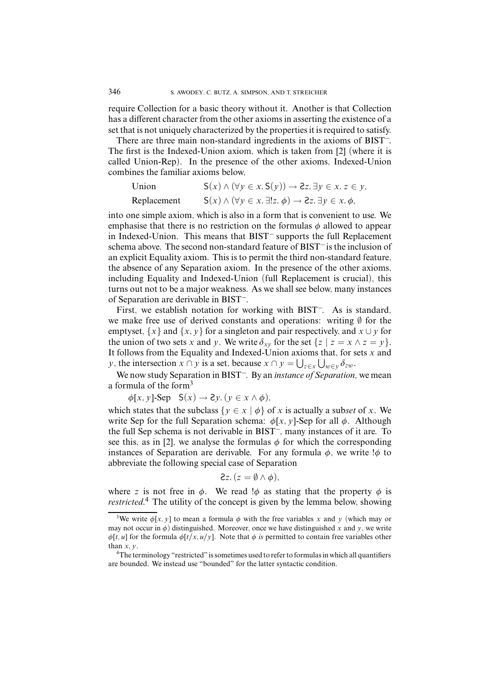require Collection for a basic theory without it. Another is that Collection has a different character from the other axioms in asserting the existence of a set that is not uniquely characterized by the properties it is required to satisfy.

There are three main non-standard ingredients in the axioms of BIST−. The first is the Indexed-Union axiom, which is taken from [2] (where it is called Union-Rep). In the presence of the other axioms, Indexed-Union combines the familiar axioms below,

Union  $S(x) \wedge (\forall y \in x. S(y)) \rightarrow 2z. \exists y \in x. z \in y$ , Replacement  $S(x) \wedge (\forall y \in x. \exists ! z. \phi) \rightarrow 2z. \exists y \in x. \phi$ ,

into one simple axiom, which is also in a form that is convenient to use. We emphasise that there is no restriction on the formulas *φ* allowed to appear in Indexed-Union. This means that BIST− supports the full Replacement schema above. The second non-standard feature of BIST<sup>-</sup> is the inclusion of an explicit Equality axiom. This is to permit the third non-standard feature, the absence of any Separation axiom. In the presence of the other axioms, including Equality and Indexed-Union (full Replacement is crucial), this turns out not to be a major weakness. As we shall see below, many instances of Separation are derivable in BIST−.

First, we establish notation for working with BIST−. As is standard, we make free use of derived constants and operations: writing  $\emptyset$  for the emptyset,  $\{x\}$  and  $\{x, y\}$  for a singleton and pair respectively, and  $x \cup y$  for the union of two sets *x* and *y*. We write  $\delta_{xy}$  for the set  $\{z \mid z = x \land z = y\}$ . It follows from the Equality and Indexed-Union axioms that, for sets *x* and *y*, the intersection *x*  $\cap$  *y* is a set, because *x*  $\cap$  *y* =  $\bigcup_{z \in x} \bigcup_{w \in y} \delta_{zw}$ .

We now study Separation in BIST<sup>-</sup>. By an *instance of Separation*, we mean a formula of the form<sup>3</sup>

 $\phi[x, y]$ -Sep  $S(x) \rightarrow 2y$ .  $(y \in x \land \phi)$ ,

which states that the subclass  $\{y \in x \mid \phi\}$  of *x* is actually a subset of *x*. We write Sep for the full Separation schema:  $\phi[x, y]$ -Sep for all  $\phi$ . Although the full Sep schema is not derivable in BIST−, many instances of it are. To see this, as in [2], we analyse the formulas  $\phi$  for which the corresponding instances of Separation are derivable. For any formula *φ*, we write !*φ* to abbreviate the following special case of Separation

$$
2z. (z = \emptyset \wedge \phi),
$$

where *z* is not free in  $\phi$ . We read  $\phi$  as stating that the property  $\phi$  is restricted.<sup>4</sup> The utility of the concept is given by the lemma below, showing

<sup>&</sup>lt;sup>3</sup>We write  $\phi[x, y]$  to mean a formula  $\phi$  with the free variables x and y (which may or may not occur in  $\phi$ ) distinguished. Moreover, once we have distinguished *x* and *y*, we write  $\phi[t, u]$  for the formula  $\phi[t/x, u/y]$ . Note that  $\phi$  is permitted to contain free variables other than *x, y*.

<sup>&</sup>lt;sup>4</sup>The terminology "restricted" is sometimes used to refer to formulas in which all quantifiers are bounded. We instead use "bounded" for the latter syntactic condition.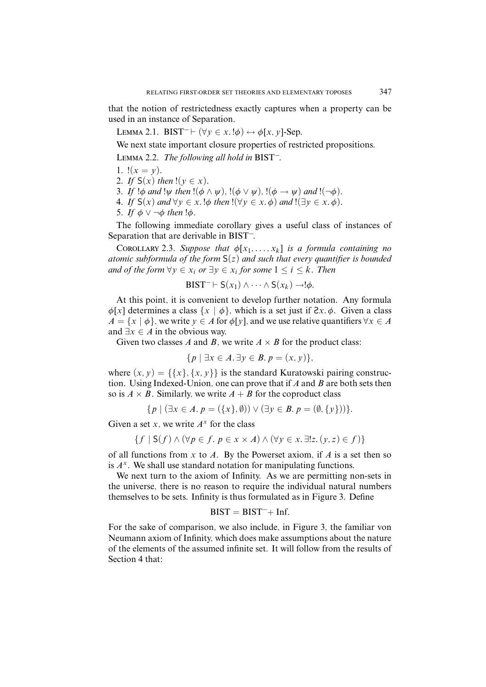that the notion of restrictedness exactly captures when a property can be used in an instance of Separation.

LEMMA 2.1. BIST<sup>-</sup>  $\vdash (\forall y \in x. !\phi) \leftrightarrow \phi[x, y]$ -Sep.

We next state important closure properties of restricted propositions.

Lemma 2.2. The following all hold in BIST−.

1.  $!(x = y)$ .

- 2. If  $S(x)$  then  $!(v \in x)$ .
- 3. If  $\phi$  and  $\psi$  then  $\phi \wedge \psi$ ,  $\phi \wedge \psi$ ,  $\phi \wedge \psi$ ,  $\phi \wedge \psi$  and  $\phi$ .
- 4. If  $S(x)$  and  $\forall y \in x$ . *!* $\phi$  *then !* $(\forall y \in x, \phi)$  and *!* $(\exists y \in x, \phi)$ .
- 5. If *φ* ∨ ¬*φ* then !*φ*.

The following immediate corollary gives a useful class of instances of Separation that are derivable in BIST−.

COROLLARY 2.3. Suppose that  $\phi[x_1, \ldots, x_k]$  is a formula containing no atomic subformula of the form  $S(z)$  and such that every quantifier is bounded and of the form  $\forall y \in x_i$  or  $\exists y \in x_i$  for some  $1 \le i \le k$ . Then

$$
BIST^{-} \vdash S(x_1) \land \cdots \land S(x_k) \rightarrow !\phi.
$$

At this point, it is convenient to develop further notation. Any formula  $\phi[x]$  determines a class  $\{x \mid \phi\}$ , which is a set just if  $\partial x$ .  $\phi$ . Given a class  $A = \{x \mid \phi\}$ , we write  $y \in A$  for  $\phi[y]$ , and we use relative quantifiers  $\forall x \in A$ and  $\exists x \in A$  in the obvious way.

Given two classes *A* and *B*, we write  $A \times B$  for the product class:

$$
\{p \mid \exists x \in A. \exists y \in B. p = (x, y)\},\
$$

where  $(x, y) = \{\{x\}, \{x, y\}\}\$ is the standard Kuratowski pairing construction. Using Indexed-Union, one can prove that if *A* and *B* are both sets then so is  $A \times B$ . Similarly, we write  $A + B$  for the coproduct class

$$
\{p \mid (\exists x \in A.\, p = (\{x\}, \emptyset)) \vee (\exists y \in B.\, p = (\emptyset, \{y\}))\}.
$$

Given a set *x*, we write  $A^x$  for the class

$$
\{f \mid \mathsf{S}(f) \land (\forall p \in f. \ p \in x \times A) \land (\forall y \in x. \ \exists ! z. \ (y, z) \in f)\}
$$

of all functions from *x* to *A*. By the Powerset axiom, if *A* is a set then so is  $A^x$ . We shall use standard notation for manipulating functions.

We next turn to the axiom of Infinity. As we are permitting non-sets in the universe, there is no reason to require the individual natural numbers themselves to be sets. Infinity is thus formulated as in Figure 3. Define

$$
BIST = BIST^{-} + Inf.
$$

For the sake of comparison, we also include, in Figure 3, the familiar von Neumann axiom of Infinity, which does make assumptions about the nature of the elements of the assumed infinite set. It will follow from the results of Section 4 that: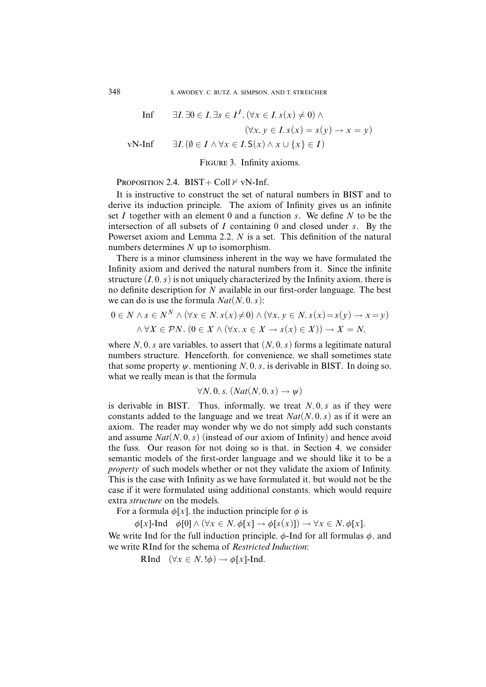348 S. AWODEY, C. BUTZ, A. SIMPSON, AND T. STREICHER

$$
\text{Inf} \qquad \exists I. \, \exists 0 \in I. \, \exists s \in I^I. \, (\forall x \in I. \, s(x) \neq 0) \land
$$
\n
$$
(\forall x, y \in I. \, s(x) = s(y) \to x = y)
$$
\n
$$
\text{vN-Inf} \qquad \exists I. \, (\emptyset \in I \land \forall x \in I. \, \mathsf{S}(x) \land x \cup \{x\} \in I)
$$

Figure 3. Infinity axioms.

PROPOSITION 2.4. BIST + Coll  $\nvdash$  vN-Inf.

It is instructive to construct the set of natural numbers in BIST and to derive its induction principle. The axiom of Infinity gives us an infinite set *I* together with an element 0 and a function *s*. We define *N* to be the intersection of all subsets of *I* containing 0 and closed under *s*. By the Powerset axiom and Lemma 2.2, *N* is a set. This definition of the natural numbers determines *N* up to isomorphism.

There is a minor clumsiness inherent in the way we have formulated the Infinity axiom and derived the natural numbers from it. Since the infinite structure  $(I, 0, s)$  is not uniquely characterized by the Infinity axiom, there is no definite description for *N* available in our first-order language. The best we can do is use the formula  $Nat(N, 0, s)$ :

$$
0 \in N \land s \in N^N \land (\forall x \in N. s(x) \neq 0) \land (\forall x, y \in N. s(x) = s(y) \to x = y)
$$

$$
\land \forall X \in \mathcal{P}N. (0 \in X \land (\forall x. x \in X \to s(x) \in X)) \to X = N,
$$

where *N*, 0, *s* are variables, to assert that  $(N, 0, s)$  forms a legitimate natural numbers structure. Henceforth, for convenience, we shall sometimes state that some property  $\psi$ , mentioning *N*, 0, *s*, is derivable in BIST. In doing so, what we really mean is that the formula

$$
\forall N, 0, s. \ (Nat(N, 0, s) \rightarrow \psi)
$$

is derivable in BIST. Thus, informally, we treat  $N$ ,  $0$ ,  $s$  as if they were constants added to the language and we treat *Nat*(*N,* 0*, s*) as if it were an axiom. The reader may wonder why we do not simply add such constants and assume  $Nat(N, 0, s)$  (instead of our axiom of Infinity) and hence avoid the fuss. Our reason for not doing so is that, in Section 4, we consider semantic models of the first-order language and we should like it to be a property of such models whether or not they validate the axiom of Infinity. This is the case with Infinity as we have formulated it, but would not be the case if it were formulated using additional constants, which would require extra structure on the models.

For a formula  $\phi[x]$ , the induction principle for  $\phi$  is

 $\phi[x]$ -Ind  $\phi[0] \land (\forall x \in N. \phi[x] \rightarrow \phi[s(x)]) \rightarrow \forall x \in N. \phi[x]$ .

We write Ind for the full induction principle, *φ*-Ind for all formulas *φ*, and we write RInd for the schema of Restricted Induction:

RInd  $(\forall x \in N. !\phi) \rightarrow \phi[x]$ -Ind.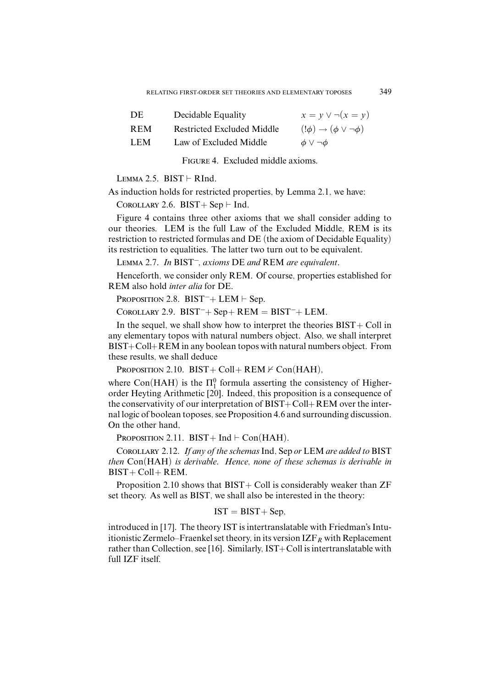| - DE       | Decidable Equality                | $x = y \vee \neg(x = y)$                   |
|------------|-----------------------------------|--------------------------------------------|
| <b>REM</b> | <b>Restricted Excluded Middle</b> | $(\phi) \rightarrow (\phi \vee \neg \phi)$ |
| -LEM       | Law of Excluded Middle            | $\phi \vee \neg \phi$                      |

Figure 4. Excluded middle axioms.

LEMMA 2.5. BIST  $\vdash$  RInd.

As induction holds for restricted properties, by Lemma 2.1, we have:

COROLLARY 2.6.  $BIST + Sep + Ind.$ 

Figure 4 contains three other axioms that we shall consider adding to our theories. LEM is the full Law of the Excluded Middle, REM is its restriction to restricted formulas and DE (the axiom of Decidable Equality) its restriction to equalities. The latter two turn out to be equivalent.

Lemma 2.7. In BIST−, axioms DE and REM are equivalent.

Henceforth, we consider only REM. Of course, properties established for REM also hold inter alia for DE.

PROPOSITION 2.8. BIST<sup> $-$ </sup>+ LEM  $\vdash$  Sep.

COROLLARY 2.9. BIST<sup> $-$ </sup>+ Sep + REM = BIST<sup> $-$ </sup>+ LEM.

In the sequel, we shall show how to interpret the theories  $BIST + Coll$  in any elementary topos with natural numbers object. Also, we shall interpret BIST+Coll+REM in any boolean topos with natural numbers object. From these results, we shall deduce

PROPOSITION 2.10. BIST + Coll + REM  $\nvdash$  Con(HAH),

where  $Con(HAH)$  is the  $\Pi_1^0$  formula asserting the consistency of Higherorder Heyting Arithmetic [20]. Indeed, this proposition is a consequence of the conservativity of our interpretation of BIST+Coll+REM over the internal logic of boolean toposes, see Proposition 4.6 and surrounding discussion. On the other hand,

PROPOSITION 2.11. BIST + Ind  $\vdash$  Con(HAH).

COROLLARY 2.12. If any of the schemas Ind, Sep or LEM are added to BIST then Con(HAH) is derivable. Hence, none of these schemas is derivable in  $BIST + Coll + REM$ .

Proposition 2.10 shows that  $BIST + Coll$  is considerably weaker than  $ZF$ set theory. As well as BIST, we shall also be interested in the theory:

$$
IST = BIST + Sep,
$$

introduced in [17]. The theory IST is intertranslatable with Friedman's Intuitionistic Zermelo–Fraenkel set theory, in its version  $IZF_R$  with Replacement rather than Collection, see [16]. Similarly,  $IST+Coll$  is intertranslatable with full IZF itself.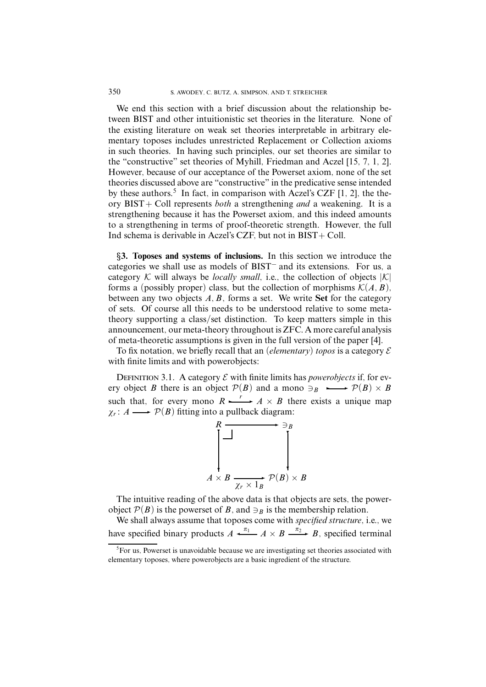## 350 S. AWODEY, C. BUTZ, A. SIMPSON, AND T. STREICHER

We end this section with a brief discussion about the relationship between BIST and other intuitionistic set theories in the literature. None of the existing literature on weak set theories interpretable in arbitrary elementary toposes includes unrestricted Replacement or Collection axioms in such theories. In having such principles, our set theories are similar to the "constructive" set theories of Myhill, Friedman and Aczel [15, 7, 1, 2]. However, because of our acceptance of the Powerset axiom, none of the set theories discussed above are "constructive" in the predicative sense intended by these authors.<sup>5</sup> In fact, in comparison with Aczel's CZF  $[1, 2]$ , the theory  $BIST + Coll$  represents *both* a strengthening *and* a weakening. It is a strengthening because it has the Powerset axiom, and this indeed amounts to a strengthening in terms of proof-theoretic strength. However, the full Ind schema is derivable in Aczel's CZF, but not in BIST+ Coll.

§**3. Toposes and systems of inclusions.** In this section we introduce the categories we shall use as models of BIST− and its extensions. For us, a category K will always be *locally small*, i.e., the collection of objects  $|K|$ forms a (possibly proper) class, but the collection of morphisms  $\mathcal{K}(A, B)$ , between any two objects *A,B*, forms a set. We write **Set** for the category of sets. Of course all this needs to be understood relative to some metatheory supporting a class/set distinction. To keep matters simple in this announcement, our meta-theory throughout isZFC. A more careful analysis of meta-theoretic assumptions is given in the full version of the paper [4].

To fix notation, we briefly recall that an (*elementary*) topos is a category  $\mathcal E$ with finite limits and with powerobjects:

DEFINITION 3.1. A category  $\mathcal E$  with finite limits has *powerobjects* if, for every object *B* there is an object  $P(B)$  and a mono  $\ni_B \longrightarrow P(B) \times B$ such that, for every mono  $R \xrightarrow{r} A \times B$  there exists a unique map  $\chi_r$ : *A*  $\longrightarrow$  *P*(*B*) fitting into a pullback diagram:



The intuitive reading of the above data is that objects are sets, the powerobject  $P(B)$  is the powerset of *B*, and  $\supseteq_B$  is the membership relation.

We shall always assume that toposes come with *specified structure*, i.e., we have specified binary products  $A \xleftarrow{\pi_1} A \times B \xrightarrow{\pi_2} B$ , specified terminal

<sup>&</sup>lt;sup>5</sup>For us, Powerset is unavoidable because we are investigating set theories associated with elementary toposes, where powerobjects are a basic ingredient of the structure.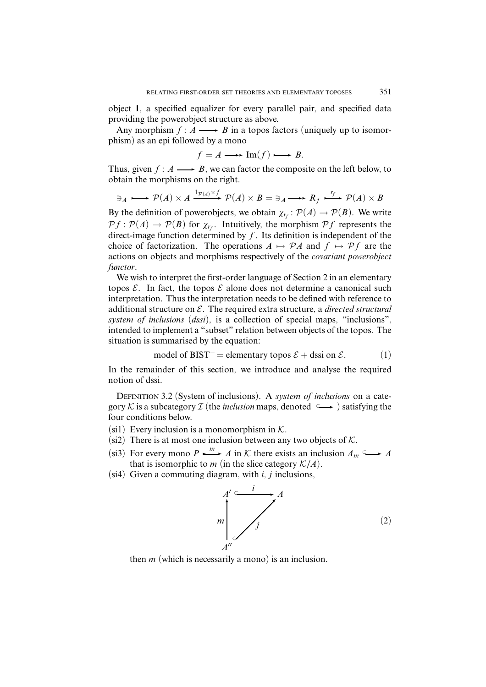object **1**, a specified equalizer for every parallel pair, and specified data providing the powerobject structure as above.

Any morphism  $f: A \longrightarrow B$  in a topos factors (uniquely up to isomorphism) as an epi followed by a mono

$$
f = A \longrightarrow \operatorname{Im}(f) \longrightarrow B.
$$

Thus, given  $f: A \longrightarrow B$ , we can factor the composite on the left below, to obtain the morphisms on the right.

$$
\ni_A \longrightarrow \mathcal{P}(A) \times A \xrightarrow{1_{\mathcal{P}(A)} \times f} \mathcal{P}(A) \times B = \ni_A \longrightarrow R_f \xrightarrow{r_f} \mathcal{P}(A) \times B
$$

By the definition of powerobjects, we obtain  $\chi_{r_f}: \mathcal{P}(A) \to \mathcal{P}(B)$ . We write  $Pf : \mathcal{P}(A) \to \mathcal{P}(B)$  for  $\chi_{r_f}$ . Intuitively, the morphism  $\mathcal{P}f$  represents the direct-image function determined by *f*. Its definition is independent of the choice of factorization. The operations  $A \mapsto \mathcal{P}A$  and  $f \mapsto \mathcal{P}f$  are the actions on objects and morphisms respectively of the covariant powerobject functor.

We wish to interpret the first-order language of Section 2 in an elementary topos  $\mathcal{E}$ . In fact, the topos  $\mathcal{E}$  alone does not determine a canonical such interpretation. Thus the interpretation needs to be defined with reference to additional structure on  $\mathcal{E}$ . The required extra structure, a *directed structural* system of inclusions (dssi), is a collection of special maps, "inclusions", intended to implement a "subset" relation between objects of the topos. The situation is summarised by the equation:

model of 
$$
BIST^-
$$
 = elementary topos  $\mathcal{E} + \text{dssi on } \mathcal{E}$ . (1)

In the remainder of this section, we introduce and analyse the required notion of dssi.

DEFINITION 3.2 (System of inclusions). A *system of inclusions* on a category K is a subcategory  $\mathcal I$  (the *inclusion* maps, denoted  $\subseteq$   $\rightarrow$  ) satisfying the four conditions below.

- (si1) Every inclusion is a monomorphism in  $K$ .
- (si2) There is at most one inclusion between any two objects of  $K$ .
- (si3) For every mono *P* <u>→ *m*</u>  $\rightarrow$  *A* in K there exists an inclusion  $A_m \longrightarrow A$ that is isomorphic to *m* (in the slice category  $K/A$ ).
- (si4) Given a commuting diagram, with *i, j* inclusions,



then *m* (which is necessarily a mono) is an inclusion.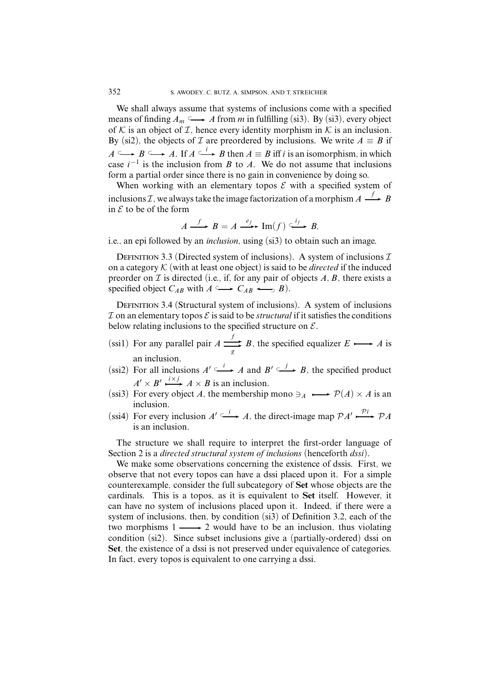We shall always assume that systems of inclusions come with a specified means of finding  $A_m \longrightarrow A$  from *m* in fulfilling (si3). By (si3), every object of K is an object of T, hence every identity morphism in K is an inclusion. By (si2), the objects of *I* are preordered by inclusions. We write  $A \equiv B$  if  $A \longrightarrow B \longrightarrow A$ . If  $A \subseteq^i$  *B* then  $A \equiv B$  iff *i* is an isomorphism, in which case  $i^{-1}$  is the inclusion from *B* to *A*. We do not assume that inclusions form a partial order since there is no gain in convenience by doing so.

When working with an elementary topos  $\mathcal E$  with a specified system of inclusions *I*, we always take the image factorization of a morphism  $A \xrightarrow{f} B$ in  $\mathcal E$  to be of the form

$$
A \xrightarrow{f} B = A \xrightarrow{e_f} \text{Im}(f) \xrightarrow{i_f} B,
$$

i.e., an epi followed by an inclusion, using (si3) to obtain such an image.

DEFINITION 3.3 (Directed system of inclusions). A system of inclusions  $\mathcal I$ on a category K (with at least one object) is said to be *directed* if the induced preorder on  $\mathcal I$  is directed (i.e., if, for any pair of objects  $A, B$ , there exists a specified object  $C_{AB}$  with  $A \longrightarrow C_{AB} \longrightarrow B$ ).

DEFINITION 3.4 (Structural system of inclusions). A system of inclusions  $\mathcal I$  on an elementary topos  $\mathcal E$  is said to be *structural* if it satisfies the conditions below relating inclusions to the specified structure on  $\mathcal{E}$ .

- (ssi1) For any parallel pair  $A \stackrel{f}{\longrightarrow}$  $\frac{f}{g}$  *B*, the specified equalizer  $E \rightarrow A$  is an inclusion.
- (ssi2) For all inclusions  $A' \stackrel{i}{\longrightarrow} A$  and  $B' \stackrel{j}{\longrightarrow} B$ , the specified product  $A' \times B' \xrightarrow{i \times j} A \times B$  is an inclusion.
- (ssi3) For every object *A*, the membership mono  $\exists A \rightarrow \mathcal{P}(A) \times A$  is an inclusion.
- (ssi4) For every inclusion  $A' \xrightarrow{i} A$ , the direct-image map  $\mathcal{P}A' \xrightarrow{\mathcal{P}i} \mathcal{P}A$ is an inclusion.

The structure we shall require to interpret the first-order language of Section 2 is a *directed structural system of inclusions* (henceforth *dssi*).

We make some observations concerning the existence of dssis. First, we observe that not every topos can have a dssi placed upon it. For a simple counterexample, consider the full subcategory of **Set** whose objects are the cardinals. This is a topos, as it is equivalent to **Set** itself. However, it can have no system of inclusions placed upon it. Indeed, if there were a system of inclusions, then, by condition (si3) of Definition 3.2, each of the two morphisms  $1 \longrightarrow 2$  would have to be an inclusion, thus violating condition (si2). Since subset inclusions give a (partially-ordered) dssi on **Set**, the existence of a dssi is not preserved under equivalence of categories. In fact, every topos is equivalent to one carrying a dssi.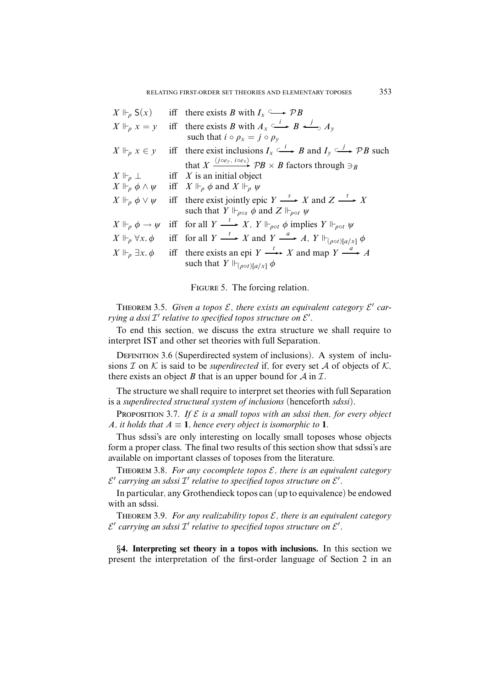|                                     | $X \Vdash_{\rho} S(x)$ iff there exists B with $I_x \longrightarrow \mathcal{P}B$                                                                                                                     |
|-------------------------------------|-------------------------------------------------------------------------------------------------------------------------------------------------------------------------------------------------------|
|                                     | $X \Vdash_{\rho} x = y$ iff there exists B with $A_x \xrightarrow{i} B \xrightarrow{j} A_y$<br>such that $i \circ \rho_x = j \circ \rho_y$                                                            |
| $X\Vdash_{\rho} x\in y$             | iff there exist inclusions $I_x \xrightarrow{i} B$ and $I_y \xrightarrow{j} PB$ such<br>that $X \xrightarrow{\langle j \circ e_y, i \circ e_x \rangle} \mathcal{P}B \times B$ factors through $\ni_B$ |
| $X\Vdash_{\rho} \bot$               | iff $X$ is an initial object                                                                                                                                                                          |
|                                     | $X \Vdash_{\rho} \phi \wedge \psi$ iff $X \Vdash_{\rho} \phi$ and $X \Vdash_{\rho} \psi$                                                                                                              |
|                                     | $X \Vdash_{\rho} \phi \vee \psi$ iff there exist jointly epic $Y \xrightarrow{s} X$ and $Z \xrightarrow{t} X$<br>such that $Y \Vdash_{\rho \circ s} \phi$ and $Z \Vdash_{\rho \circ t} \psi$          |
| $X\Vdash_{\rho}\phi\rightarrow\psi$ | iff for all $Y \xrightarrow{t} X$ , $Y \Vdash_{\rho \circ t} \phi$ implies $Y \Vdash_{\rho \circ t} \psi$                                                                                             |
| $X\Vdash_{\rho} \forall x.\,\phi$   | iff for all $Y \xrightarrow{t} X$ and $Y \xrightarrow{a} A$ , $Y \Vdash_{(\rho \circ t)[a/x]} \phi$                                                                                                   |
|                                     | $X \Vdash_{\rho} \exists x. \phi$ iff there exists an epi $Y \xrightarrow{t} X$ and map $Y \xrightarrow{a} A$<br>such that $Y \Vdash_{(\rho \circ t)[a/x]} \phi$                                      |
|                                     |                                                                                                                                                                                                       |

FIGURE 5. The forcing relation.

THEOREM 3.5. Given a topos  $\mathcal{E}$ , there exists an equivalent category  $\mathcal{E}'$  carrying a dssi  $\mathcal{I}'$  relative to specified topos structure on  $\mathcal{E}'.$ 

To end this section, we discuss the extra structure we shall require to interpret IST and other set theories with full Separation.

DEFINITION 3.6 (Superdirected system of inclusions). A system of inclusions  $\mathcal I$  on  $\mathcal K$  is said to be *superdirected* if, for every set  $\mathcal A$  of objects of  $\mathcal K$ , there exists an object *B* that is an upper bound for  $A$  in  $I$ .

The structure we shall require to interpret set theories with full Separation is a superdirected structural system of inclusions (henceforth sdssi).

PROPOSITION 3.7. If  $\mathcal E$  is a small topos with an sdssi then, for every object *A*, *it holds that*  $A \equiv 1$ *, hence every object is isomorphic to* 1*.* 

Thus sdssi's are only interesting on locally small toposes whose objects form a proper class. The final two results of this section show that sdssi's are available on important classes of toposes from the literature.

THEOREM 3.8. For any cocomplete topos  $\mathcal{E}$ , there is an equivalent category  $\mathcal{E}'$  carrying an sdssi  $\mathcal{I}'$  relative to specified topos structure on  $\mathcal{E}'.$ 

In particular, any Grothendieck topos can (up to equivalence) be endowed with an sdssi.

THEOREM 3.9. For any realizability topos  $\mathcal{E}$ , there is an equivalent category  $\mathcal{E}'$  carrying an sdssi  $\mathcal{I}'$  relative to specified topos structure on  $\mathcal{E}'.$ 

§**4. Interpreting set theory in a topos with inclusions.** In this section we present the interpretation of the first-order language of Section 2 in an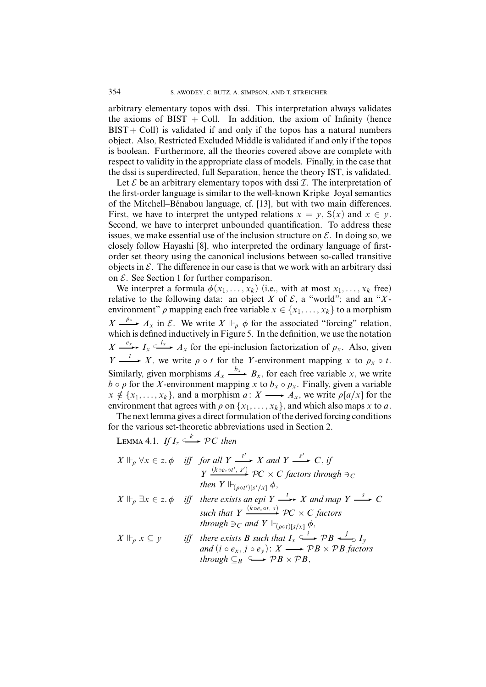arbitrary elementary topos with dssi. This interpretation always validates the axioms of BIST−+ Coll. In addition, the axiom of Infinity (hence  $BIST + Coll$ ) is validated if and only if the topos has a natural numbers object. Also, Restricted Excluded Middle is validated if and only if the topos is boolean. Furthermore, all the theories covered above are complete with respect to validity in the appropriate class of models. Finally, in the case that the dssi is superdirected, full Separation, hence the theory IST, is validated.

Let  $\mathcal E$  be an arbitrary elementary topos with dssi  $\mathcal I$ . The interpretation of the first-order language is similar to the well-known Kripke–Joyal semantics of the Mitchell–Bénabou language, cf. [13], but with two main differences. First, we have to interpret the untyped relations  $x = y$ ,  $S(x)$  and  $x \in y$ . Second, we have to interpret unbounded quantification. To address these issues, we make essential use of the inclusion structure on  $\mathcal{E}$ . In doing so, we closely follow Hayashi [8], who interpreted the ordinary language of firstorder set theory using the canonical inclusions between so-called transitive objects in  $\mathcal{E}$ . The difference in our case is that we work with an arbitrary dssi on  $\mathcal{E}$ . See Section 1 for further comparison.

We interpret a formula  $\phi(x_1, \ldots, x_k)$  (i.e., with at most  $x_1, \ldots, x_k$  free) relative to the following data: an object *X* of  $\mathcal{E}$ , a "world"; and an "*X*environment"  $\rho$  mapping each free variable  $x \in \{x_1, \ldots, x_k\}$  to a morphism *X*  $\frac{\rho_x}{\rho_x}$  *A<sub>x</sub>* in *E*. We write *X*  $\vert \frac{\rho_p}{\rho} \phi \rangle$  for the associated "forcing" relation, which is defined inductively in Figure 5. In the definition, we use the notation *X*  $e_x$  *i<sub>x</sub>*  $\frac{e_x}{x}$  *A<sub>x</sub>* for the epi-inclusion factorization of  $\rho_x$ . Also, given *Y*  $\longrightarrow$  *X*, we write  $\rho \circ t$  for the *Y*-environment mapping *x* to  $\rho_x \circ t$ . Similarly, given morphisms  $A_x \xrightarrow{b_x} B_x$ , for each free variable *x*, we write *b*  $\circ$   $\rho$  for the *X*-environment mapping *x* to  $b_x \circ \rho_x$ . Finally, given a variable  $x \notin \{x_1, \ldots, x_k\}$ , and a morphism  $a: X \longrightarrow A_x$ , we write  $\rho[a/x]$  for the environment that agrees with  $\rho$  on  $\{x_1, \ldots, x_k\}$ , and which also maps *x* to *a*.

The next lemma gives a direct formulation of the derived forcing conditions for the various set-theoretic abbreviations used in Section 2.

LEMMA 4.1. *If I<sub>z</sub>* ∈  $\stackrel{k}{\longrightarrow}$  *PC* then

$$
X \Vdash_{\rho} \forall x \in z. \phi \quad \text{iff} \quad \text{for all } Y \xrightarrow{t'} X \text{ and } Y \xrightarrow{s'} C, \text{ if}
$$
\n
$$
Y \xrightarrow{(k \circ e_z \circ t', s')} PC \times C \text{ factors through } \exists C
$$
\n
$$
\text{then } Y \Vdash_{(\rho \circ t')[s'/x]} \phi,
$$

*X*  $\Vdash_{\rho} \exists x \in z \ldotp \phi$  *iff there exists an epi Y*  $\xrightarrow{t}$  *X* and map *Y*  $\xrightarrow{s}$  *C* such that  $Y \xrightarrow{(k \circ e_z \circ t, s)} \mathcal{P}C \times C$  factors  $through \ni_C$  and  $Y \Vdash_{(\rho \circ t)[s/x]} \phi$ ,

$$
X \Vdash_{\rho} x \subseteq y \qquad \text{iff} \quad \text{there exists } B \text{ such that } I_x \xrightarrow{i} \mathcal{P}B \xrightarrow{j} I_y
$$
\n
$$
\text{and } (i \circ e_x, j \circ e_y) : X \longrightarrow \mathcal{P}B \times \mathcal{P}B \text{ factors}
$$
\n
$$
\text{through } \subseteq_B \subseteq \longrightarrow \mathcal{P}B \times \mathcal{P}B,
$$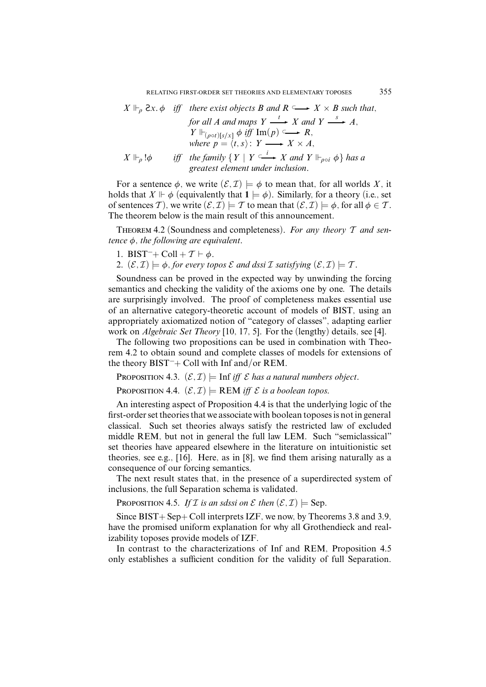RELATING FIRST-ORDER SET THEORIES AND ELEMENTARY TOPOSES 355

$$
X \Vdash_{\rho} 2x. \phi \quad \text{iff} \quad \text{there exist objects } B \text{ and } R \longrightarrow X \times B \text{ such that,}
$$
\n
$$
\text{for all } A \text{ and maps } Y \xrightarrow{t} X \text{ and } Y \xrightarrow{s} A,
$$
\n
$$
Y \Vdash_{(\rho \circ t)[s/x]} \phi \text{ iff } \text{Im}(p) \longrightarrow R,
$$
\n
$$
\text{where } p = \langle t, s \rangle: Y \longrightarrow X \times A,
$$
\n
$$
X \Vdash_{\rho} !\phi \quad \text{iff} \quad \text{the family } \{Y \mid Y \xrightarrow{i} X \text{ and } Y \Vdash_{\rho \circ i} \phi \} \text{ has a}
$$
\n
$$
\text{greatest element under inclusion.}
$$

For a sentence  $\phi$ , we write  $(\mathcal{E}, \mathcal{I}) \models \phi$  to mean that, for all worlds X, it holds that  $X \Vdash \phi$  (equivalently that  $1 \models \phi$ ). Similarly, for a theory (i.e., set of sentences T), we write  $(\mathcal{E}, \mathcal{I}) \models \mathcal{T}$  to mean that  $(\mathcal{E}, \mathcal{I}) \models \phi$ , for all  $\phi \in \mathcal{T}$ . The theorem below is the main result of this announcement.

THEOREM 4.2 (Soundness and completeness). For any theory  $T$  and sentence *φ*, the following are equivalent.

- 1. BIST<sup>-</sup>+ Coll +  $\mathcal{T} \vdash \phi$ .
- 2.  $(\mathcal{E}, \mathcal{I}) \models \phi$ , for every topos  $\mathcal E$  and dssi  $\mathcal I$  satisfying  $(\mathcal{E}, \mathcal{I}) \models \mathcal T$ .

Soundness can be proved in the expected way by unwinding the forcing semantics and checking the validity of the axioms one by one. The details are surprisingly involved. The proof of completeness makes essential use of an alternative category-theoretic account of models of BIST, using an appropriately axiomatized notion of "category of classes", adapting earlier work on *Algebraic Set Theory* [10, 17, 5]. For the (lengthy) details, see [4].

The following two propositions can be used in combination with Theorem 4.2 to obtain sound and complete classes of models for extensions of the theory BIST−+ Coll with Inf and/or REM.

PROPOSITION 4.3.  $(\mathcal{E}, \mathcal{I}) \models \text{Inf iff } \mathcal{E}$  has a natural numbers object.

PROPOSITION 4.4.  $(\mathcal{E}, \mathcal{I}) \models$  REM iff  $\mathcal E$  is a boolean topos.

An interesting aspect of Proposition 4.4 is that the underlying logic of the first-order set theories that we associate with boolean toposes is not in general classical. Such set theories always satisfy the restricted law of excluded middle REM, but not in general the full law LEM. Such "semiclassical" set theories have appeared elsewhere in the literature on intuitionistic set theories, see e.g., [16]. Here, as in [8], we find them arising naturally as a consequence of our forcing semantics.

The next result states that, in the presence of a superdirected system of inclusions, the full Separation schema is validated.

PROPOSITION 4.5. If *I* is an sdssi on  $\mathcal E$  then  $(\mathcal E, \mathcal I) \models$  Sep.

Since BIST+ Sep+ Coll interprets IZF, we now, by Theorems 3.8 and 3.9, have the promised uniform explanation for why all Grothendieck and realizability toposes provide models of IZF.

In contrast to the characterizations of Inf and REM, Proposition 4.5 only establishes a sufficient condition for the validity of full Separation.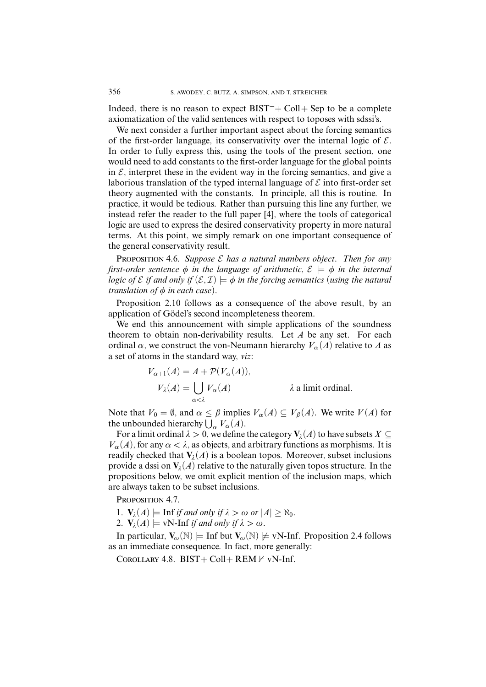Indeed, there is no reason to expect BIST−+ Coll+ Sep to be a complete axiomatization of the valid sentences with respect to toposes with sdssi's.

We next consider a further important aspect about the forcing semantics of the first-order language, its conservativity over the internal logic of  $\mathcal{E}$ . In order to fully express this, using the tools of the present section, one would need to add constants to the first-order language for the global points in  $\mathcal E$ , interpret these in the evident way in the forcing semantics, and give a laborious translation of the typed internal language of  $\mathcal E$  into first-order set theory augmented with the constants. In principle, all this is routine. In practice, it would be tedious. Rather than pursuing this line any further, we instead refer the reader to the full paper [4], where the tools of categorical logic are used to express the desired conservativity property in more natural terms. At this point, we simply remark on one important consequence of the general conservativity result.

PROPOSITION 4.6. Suppose  $\mathcal E$  has a natural numbers object. Then for any first-order sentence  $\phi$  in the language of arithmetic,  $\mathcal{E} \models \phi$  in the internal logic of  $\mathcal E$  if and only if  $(\mathcal E,\mathcal I)\models \phi$  in the forcing semantics (using the natural translation of *φ* in each case).

Proposition 2.10 follows as a consequence of the above result, by an application of Gödel's second incompleteness theorem.

We end this announcement with simple applications of the soundness theorem to obtain non-derivability results. Let *A* be any set. For each ordinal  $\alpha$ , we construct the von-Neumann hierarchy  $V_{\alpha}(A)$  relative to A as a set of atoms in the standard way, viz:

$$
V_{\alpha+1}(A) = A + \mathcal{P}(V_{\alpha}(A)),
$$
  
\n
$$
V_{\lambda}(A) = \bigcup_{\alpha < \lambda} V_{\alpha}(A) \qquad \lambda \text{ a limit ordinal.}
$$

Note that  $V_0 = \emptyset$ , and  $\alpha \leq \beta$  implies  $V_\alpha(A) \subseteq V_\beta(A)$ . We write  $V(A)$  for the unbounded hierarchy  $\bigcup_{\alpha} V_{\alpha}(A)$ .

For a limit ordinal  $\lambda > 0$ , we define the category  $V_{\lambda}(A)$  to have subsets  $X \subseteq$  $V_{\alpha}(A)$ , for any  $\alpha < \lambda$ , as objects, and arbitrary functions as morphisms. It is readily checked that  $V_\lambda(A)$  is a boolean topos. Moreover, subset inclusions provide a dssi on  $V_\lambda(A)$  relative to the naturally given topos structure. In the propositions below, we omit explicit mention of the inclusion maps, which are always taken to be subset inclusions.

PROPOSITION 4.7.

1.  $V_{\lambda}(A) \models \text{Inf } \text{if and only if } \lambda > \omega \text{ or } |A| \geq \aleph_0.$ 

2.  $V_{\lambda}(A) \models \text{vN-Inf}$  if and only if  $\lambda > \omega$ .

In particular,  $V_{\omega}(\mathbb{N}) \models \text{Inf}$  but  $V_{\omega}(\mathbb{N}) \not\models \text{vN-Inf}$ . Proposition 2.4 follows as an immediate consequence. In fact, more generally:

COROLLARY 4.8. BIST + Coll + REM  $\nvdash$  vN-Inf.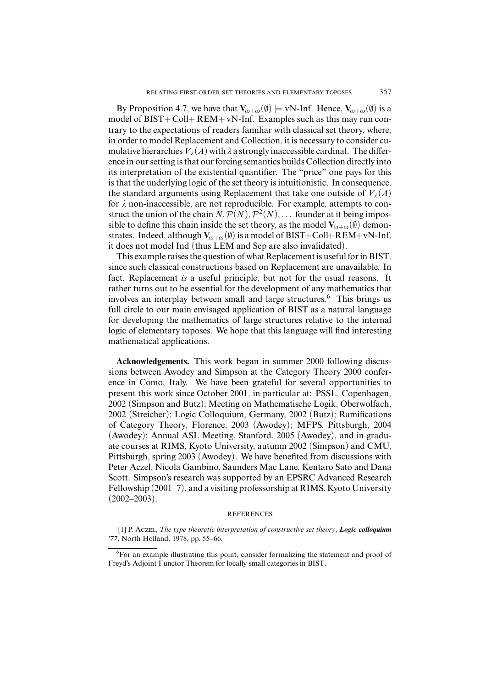By Proposition 4.7, we have that  $V_{\omega+\omega}(\emptyset)$  = vN-Inf. Hence,  $V_{\omega+\omega}(\emptyset)$  is a model of BIST+ Coll+ REM+ vN-Inf. Examples such as this may run contrary to the expectations of readers familiar with classical set theory, where, in order to model Replacement and Collection, it is necessary to consider cumulative hierarchies  $V_1(A)$  with  $\lambda$  a strongly inaccessible cardinal. The difference in our setting is that our forcing semantics builds Collection directly into its interpretation of the existential quantifier. The "price" one pays for this is that the underlying logic of the set theory is intuitionistic. In consequence, the standard arguments using Replacement that take one outside of  $V_{\lambda}(A)$ for  $\lambda$  non-inaccessible, are not reproducible. For example, attempts to construct the union of the chain *N*,  $\mathcal{P}(N)$ ,  $\mathcal{P}^2(N)$ ,  $\ldots$  founder at it being impossible to define this chain inside the set theory, as the model  $V_{\omega+\omega}(\emptyset)$  demonstrates. Indeed, although  $V_{\omega+\omega}(\emptyset)$  is a model of BIST+Coll+REM+vN-Inf, it does not model Ind (thus LEM and Sep are also invalidated).

This example raises the question of what Replacement is useful for in BIST, since such classical constructions based on Replacement are unavailable. In fact, Replacement is a useful principle, but not for the usual reasons. It rather turns out to be essential for the development of any mathematics that involves an interplay between small and large structures. <sup>6</sup> This brings us full circle to our main envisaged application of BIST as a natural language for developing the mathematics of large structures relative to the internal logic of elementary toposes. We hope that this language will find interesting mathematical applications.

**Acknowledgements.** This work began in summer 2000 following discussions between Awodey and Simpson at the Category Theory 2000 conference in Como, Italy. We have been grateful for several opportunities to present this work since October 2001, in particular at: PSSL, Copenhagen, 2002 (Simpson and Butz); Meeting on Mathematische Logik, Oberwolfach, 2002 (Streicher); Logic Colloquium, Germany, 2002 (Butz); Ramifications of Category Theory, Florence, 2003 (Awodey); MFPS, Pittsburgh, 2004 (Awodey); Annual ASL Meeting, Stanford, 2005 (Awodey), and in graduate courses at RIMS, Kyoto University, autumn 2002 (Simpson) and CMU, Pittsburgh, spring 2003 (Awodey). We have benefited from discussions with Peter Aczel, Nicola Gambino, Saunders Mac Lane, Kentaro Sato and Dana Scott. Simpson's research was supported by an EPSRC Advanced Research Fellowship (2001–7), and a visiting professorship at RIMS, Kyoto University  $(2002 - 2003)$ .

#### REFERENCES

[1] P. Aczel, The type theoretic interpretation of constructive set theory, *Logic colloquium '77*, North Holland, 1978, pp. 55–66.

<sup>&</sup>lt;sup>6</sup>For an example illustrating this point, consider formalizing the statement and proof of Freyd's Adjoint Functor Theorem for locally small categories in BIST.